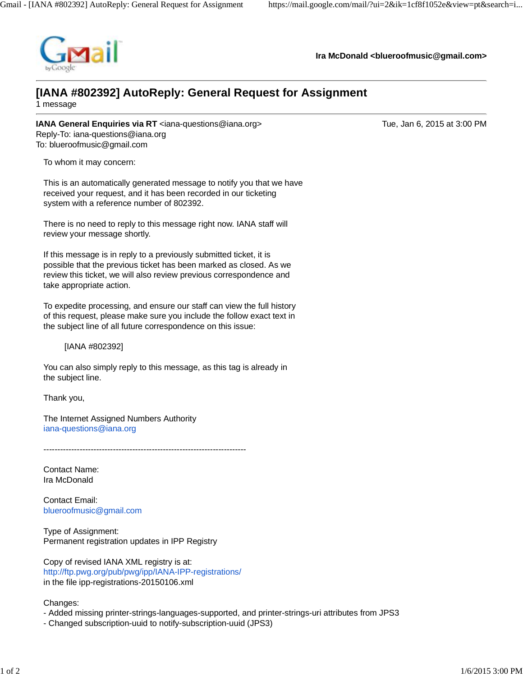

**Ira McDonald <blueroofmusic@gmail.com>**

## **[IANA #802392] AutoReply: General Request for Assignment**

1 message

**IANA General Enquiries via RT** <iana-questions@iana.org> Tue, Jan 6, 2015 at 3:00 PM Reply-To: iana-questions@iana.org To: blueroofmusic@gmail.com

To whom it may concern:

This is an automatically generated message to notify you that we have received your request, and it has been recorded in our ticketing system with a reference number of 802392.

There is no need to reply to this message right now. IANA staff will review your message shortly.

If this message is in reply to a previously submitted ticket, it is possible that the previous ticket has been marked as closed. As we review this ticket, we will also review previous correspondence and take appropriate action.

To expedite processing, and ensure our staff can view the full history of this request, please make sure you include the follow exact text in the subject line of all future correspondence on this issue:

[IANA #802392]

You can also simply reply to this message, as this tag is already in the subject line.

Thank you,

The Internet Assigned Numbers Authority iana-questions@iana.org

-------------------------------------------------------------------------

Contact Name: Ira McDonald

Contact Email: blueroofmusic@gmail.com

Type of Assignment: Permanent registration updates in IPP Registry

Copy of revised IANA XML registry is at: http://ftp.pwg.org/pub/pwg/ipp/IANA-IPP-registrations/ in the file ipp-registrations-20150106.xml

Changes:

- Added missing printer-strings-languages-supported, and printer-strings-uri attributes from JPS3

- Changed subscription-uuid to notify-subscription-uuid (JPS3)